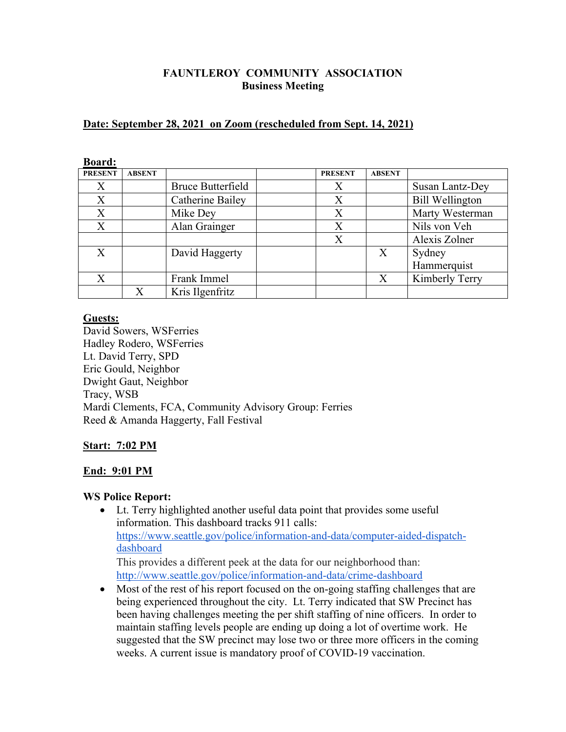# **FAUNTLEROY COMMUNITY ASSOCIATION Business Meeting**

## **Date: September 28, 2021 on Zoom (rescheduled from Sept. 14, 2021)**

| Duai u.          |               |                          |                |               |                        |
|------------------|---------------|--------------------------|----------------|---------------|------------------------|
| <b>PRESENT</b>   | <b>ABSENT</b> |                          | <b>PRESENT</b> | <b>ABSENT</b> |                        |
| $\boldsymbol{X}$ |               | <b>Bruce Butterfield</b> | Χ              |               | Susan Lantz-Dey        |
| X                |               | Catherine Bailey         | X              |               | <b>Bill Wellington</b> |
| X                |               | Mike Dey                 | X              |               | Marty Westerman        |
| X                |               | Alan Grainger            | X              |               | Nils von Veh           |
|                  |               |                          | X              |               | Alexis Zolner          |
| $\mathbf{X}$     |               | David Haggerty           |                | X             | Sydney                 |
|                  |               |                          |                |               | Hammerquist            |
| X                |               | Frank Immel              |                | X             | Kimberly Terry         |
|                  | X             | Kris Ilgenfritz          |                |               |                        |

## **Board:**

### **Guests:**

David Sowers, WSFerries Hadley Rodero, WSFerries Lt. David Terry, SPD Eric Gould, Neighbor Dwight Gaut, Neighbor Tracy, WSB Mardi Clements, FCA, Community Advisory Group: Ferries Reed & Amanda Haggerty, Fall Festival

# **Start: 7:02 PM**

### **End: 9:01 PM**

### **WS Police Report:**

• Lt. Terry highlighted another useful data point that provides some useful information. This dashboard tracks 911 calls: https://www.seattle.gov/police/information-and-data/computer-aided-dispatchdashboard This provides a different peek at the data for our neighborhood than:

http://www.seattle.gov/police/information-and-data/crime-dashboard

• Most of the rest of his report focused on the on-going staffing challenges that are being experienced throughout the city. Lt. Terry indicated that SW Precinct has been having challenges meeting the per shift staffing of nine officers. In order to maintain staffing levels people are ending up doing a lot of overtime work. He suggested that the SW precinct may lose two or three more officers in the coming weeks. A current issue is mandatory proof of COVID-19 vaccination.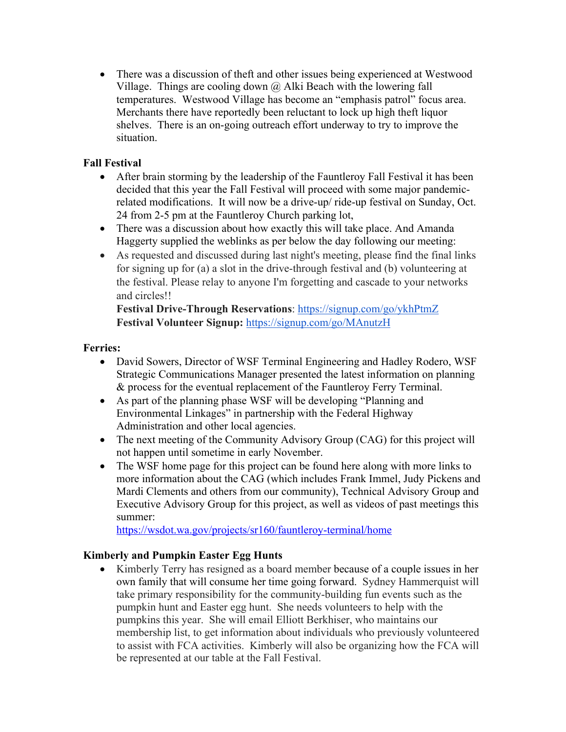• There was a discussion of theft and other issues being experienced at Westwood Village. Things are cooling down  $\omega$  Alki Beach with the lowering fall temperatures. Westwood Village has become an "emphasis patrol" focus area. Merchants there have reportedly been reluctant to lock up high theft liquor shelves. There is an on-going outreach effort underway to try to improve the situation.

# **Fall Festival**

- After brain storming by the leadership of the Fauntleroy Fall Festival it has been decided that this year the Fall Festival will proceed with some major pandemicrelated modifications. It will now be a drive-up/ ride-up festival on Sunday, Oct. 24 from 2-5 pm at the Fauntleroy Church parking lot,
- There was a discussion about how exactly this will take place. And Amanda Haggerty supplied the weblinks as per below the day following our meeting:
- As requested and discussed during last night's meeting, please find the final links for signing up for (a) a slot in the drive-through festival and (b) volunteering at the festival. Please relay to anyone I'm forgetting and cascade to your networks and circles!!

**Festival Drive-Through Reservations**: https://signup.com/go/ykhPtmZ **Festival Volunteer Signup:** https://signup.com/go/MAnutzH

# **Ferries:**

- David Sowers, Director of WSF Terminal Engineering and Hadley Rodero, WSF Strategic Communications Manager presented the latest information on planning & process for the eventual replacement of the Fauntleroy Ferry Terminal.
- As part of the planning phase WSF will be developing "Planning and Environmental Linkages" in partnership with the Federal Highway Administration and other local agencies.
- The next meeting of the Community Advisory Group (CAG) for this project will not happen until sometime in early November.
- The WSF home page for this project can be found here along with more links to more information about the CAG (which includes Frank Immel, Judy Pickens and Mardi Clements and others from our community), Technical Advisory Group and Executive Advisory Group for this project, as well as videos of past meetings this summer:

https://wsdot.wa.gov/projects/sr160/fauntleroy-terminal/home

# **Kimberly and Pumpkin Easter Egg Hunts**

• Kimberly Terry has resigned as a board member because of a couple issues in her own family that will consume her time going forward. Sydney Hammerquist will take primary responsibility for the community-building fun events such as the pumpkin hunt and Easter egg hunt. She needs volunteers to help with the pumpkins this year. She will email Elliott Berkhiser, who maintains our membership list, to get information about individuals who previously volunteered to assist with FCA activities. Kimberly will also be organizing how the FCA will be represented at our table at the Fall Festival.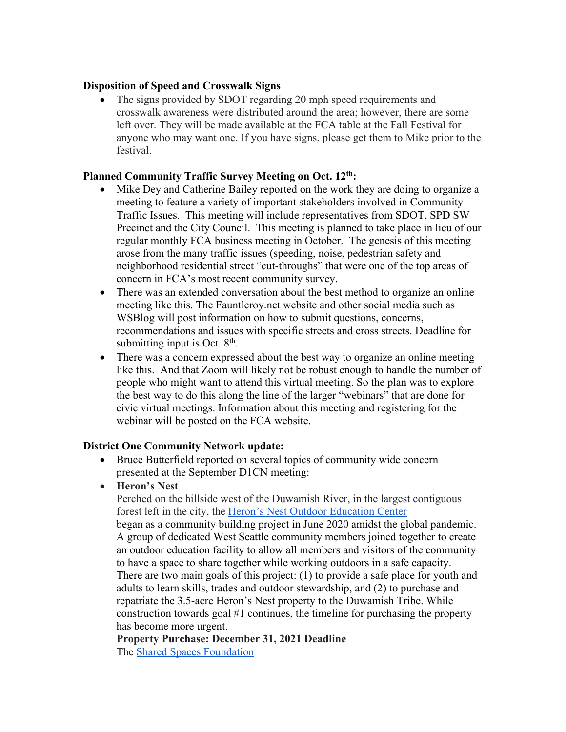### **Disposition of Speed and Crosswalk Signs**

• The signs provided by SDOT regarding 20 mph speed requirements and crosswalk awareness were distributed around the area; however, there are some left over. They will be made available at the FCA table at the Fall Festival for anyone who may want one. If you have signs, please get them to Mike prior to the festival.

## **Planned Community Traffic Survey Meeting on Oct. 12th:**

- Mike Dey and Catherine Bailey reported on the work they are doing to organize a meeting to feature a variety of important stakeholders involved in Community Traffic Issues. This meeting will include representatives from SDOT, SPD SW Precinct and the City Council. This meeting is planned to take place in lieu of our regular monthly FCA business meeting in October. The genesis of this meeting arose from the many traffic issues (speeding, noise, pedestrian safety and neighborhood residential street "cut-throughs" that were one of the top areas of concern in FCA's most recent community survey.
- There was an extended conversation about the best method to organize an online meeting like this. The Fauntleroy.net website and other social media such as WSBlog will post information on how to submit questions, concerns, recommendations and issues with specific streets and cross streets. Deadline for submitting input is Oct.  $8<sup>th</sup>$ .
- There was a concern expressed about the best way to organize an online meeting like this. And that Zoom will likely not be robust enough to handle the number of people who might want to attend this virtual meeting. So the plan was to explore the best way to do this along the line of the larger "webinars" that are done for civic virtual meetings. Information about this meeting and registering for the webinar will be posted on the FCA website.

# **District One Community Network update:**

- Bruce Butterfield reported on several topics of community wide concern presented at the September D1CN meeting:
- **Heron's Nest**

Perched on the hillside west of the Duwamish River, in the largest contiguous forest left in the city, the Heron's Nest Outdoor Education Center

began as a community building project in June 2020 amidst the global pandemic. A group of dedicated West Seattle community members joined together to create an outdoor education facility to allow all members and visitors of the community to have a space to share together while working outdoors in a safe capacity. There are two main goals of this project: (1) to provide a safe place for youth and adults to learn skills, trades and outdoor stewardship, and (2) to purchase and repatriate the 3.5-acre Heron's Nest property to the Duwamish Tribe. While construction towards goal #1 continues, the timeline for purchasing the property has become more urgent.

**Property Purchase: December 31, 2021 Deadline** The Shared Spaces Foundation